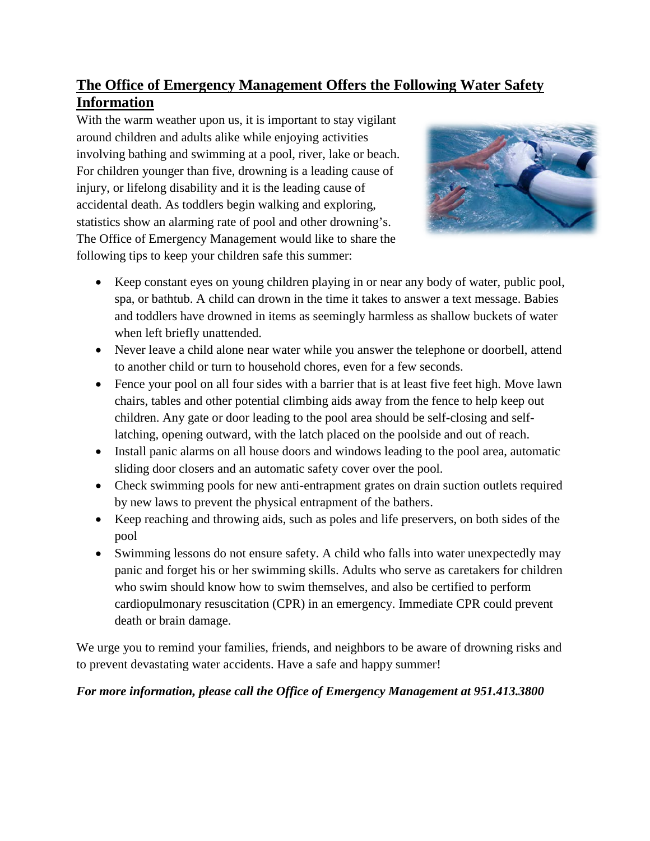# **The Office of Emergency Management Offers the Following Water Safety Information**

With the warm weather upon us, it is important to stay vigilant around children and adults alike while enjoying activities involving bathing and swimming at a pool, river, lake or beach. For children younger than five, drowning is a leading cause of injury, or lifelong disability and it is the leading cause of accidental death. As toddlers begin walking and exploring, statistics show an alarming rate of pool and other drowning's. The Office of Emergency Management would like to share the following tips to keep your children safe this summer:



- Keep constant eyes on young children playing in or near any body of water, public pool, spa, or bathtub. A child can drown in the time it takes to answer a text message. Babies and toddlers have drowned in items as seemingly harmless as shallow buckets of water when left briefly unattended.
- Never leave a child alone near water while you answer the telephone or doorbell, attend to another child or turn to household chores, even for a few seconds.
- Fence your pool on all four sides with a barrier that is at least five feet high. Move lawn chairs, tables and other potential climbing aids away from the fence to help keep out children. Any gate or door leading to the pool area should be self-closing and selflatching, opening outward, with the latch placed on the poolside and out of reach.
- Install panic alarms on all house doors and windows leading to the pool area, automatic sliding door closers and an automatic safety cover over the pool.
- Check swimming pools for new anti-entrapment grates on drain suction outlets required by new laws to prevent the physical entrapment of the bathers.
- Keep reaching and throwing aids, such as poles and life preservers, on both sides of the pool
- Swimming lessons do not ensure safety. A child who falls into water unexpectedly may panic and forget his or her swimming skills. Adults who serve as caretakers for children who swim should know how to swim themselves, and also be certified to perform cardiopulmonary resuscitation (CPR) in an emergency. Immediate CPR could prevent death or brain damage.

We urge you to remind your families, friends, and neighbors to be aware of drowning risks and to prevent devastating water accidents. Have a safe and happy summer!

#### *For more information, please call the Office of Emergency Management at 951.413.3800*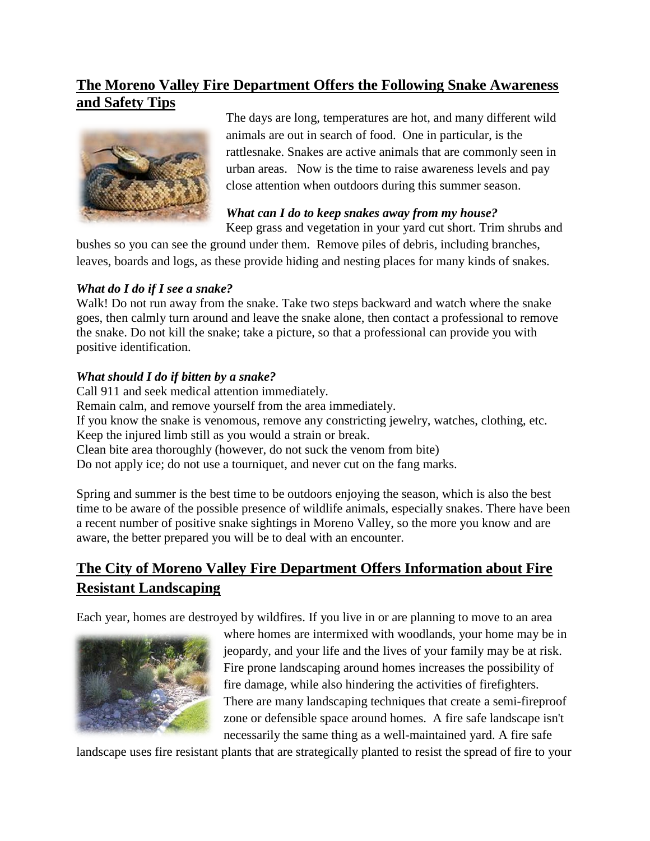## **The Moreno Valley Fire Department Offers the Following Snake Awareness and Safety Tips**



The days are long, temperatures are hot, and many different wild animals are out in search of food. One in particular, is the rattlesnake. Snakes are active animals that are commonly seen in urban areas. Now is the time to raise awareness levels and pay close attention when outdoors during this summer season.

## *What can I do to keep snakes away from my house?*

Keep grass and vegetation in your yard cut short. Trim shrubs and

bushes so you can see the ground under them. Remove piles of debris, including branches, leaves, boards and logs, as these provide hiding and nesting places for many kinds of snakes.

#### *What do I do if I see a snake?*

Walk! Do not run away from the snake. Take two steps backward and watch where the snake goes, then calmly turn around and leave the snake alone, then contact a professional to remove the snake. Do not kill the snake; take a picture, so that a professional can provide you with positive identification.

#### *What should I do if bitten by a snake?*

Call 911 and seek medical attention immediately. Remain calm, and remove yourself from the area immediately. If you know the snake is venomous, remove any constricting jewelry, watches, clothing, etc. Keep the injured limb still as you would a strain or break. Clean bite area thoroughly (however, do not suck the venom from bite) Do not apply ice; do not use a tourniquet, and never cut on the fang marks.

Spring and summer is the best time to be outdoors enjoying the season, which is also the best time to be aware of the possible presence of wildlife animals, especially snakes. There have been a recent number of positive snake sightings in Moreno Valley, so the more you know and are aware, the better prepared you will be to deal with an encounter.

# **The City of Moreno Valley Fire Department Offers Information about Fire Resistant Landscaping**

Each year, homes are destroyed by wildfires. If you live in or are planning to move to an area



where homes are intermixed with woodlands, your home may be in jeopardy, and your life and the lives of your family may be at risk. Fire prone landscaping around homes increases the possibility of fire damage, while also hindering the activities of firefighters. There are many landscaping techniques that create a semi-fireproof zone or defensible space around homes. A fire safe landscape isn't necessarily the same thing as a well-maintained yard. A fire safe

landscape uses fire resistant plants that are strategically planted to resist the spread of fire to your